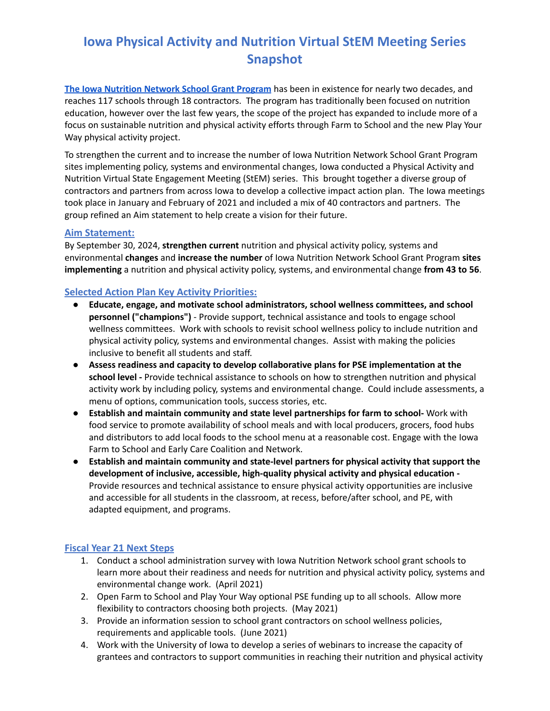# **Iowa Physical Activity and Nutrition Virtual StEM Meeting Series Snapshot**

**The Iowa [Nutrition](https://idph.iowa.gov/inn/pick-a-better-snack) Network School Grant Program** has been in existence for nearly two decades, and reaches 117 schools through 18 contractors. The program has traditionally been focused on nutrition education, however over the last few years, the scope of the project has expanded to include more of a focus on sustainable nutrition and physical activity efforts through Farm to School and the new Play Your Way physical activity project.

To strengthen the current and to increase the number of Iowa Nutrition Network School Grant Program sites implementing policy, systems and environmental changes, Iowa conducted a Physical Activity and Nutrition Virtual State Engagement Meeting (StEM) series. This brought together a diverse group of contractors and partners from across Iowa to develop a collective impact action plan. The Iowa meetings took place in January and February of 2021 and included a mix of 40 contractors and partners. The group refined an Aim statement to help create a vision for their future.

### **Aim Statement:**

By September 30, 2024, **strengthen current** nutrition and physical activity policy, systems and environmental **changes** and **increase the number** of Iowa Nutrition Network School Grant Program **sites implementing** a nutrition and physical activity policy, systems, and environmental change **from 43 to 56**.

## **Selected Action Plan Key Activity Priorities:**

- **Educate, engage, and motivate school administrators, school wellness committees, and school personnel ("champions")** - Provide support, technical assistance and tools to engage school wellness committees. Work with schools to revisit school wellness policy to include nutrition and physical activity policy, systems and environmental changes. Assist with making the policies inclusive to benefit all students and staff.
- **Assess readiness and capacity to develop collaborative plans for PSE implementation at the school level -** Provide technical assistance to schools on how to strengthen nutrition and physical activity work by including policy, systems and environmental change. Could include assessments, a menu of options, communication tools, success stories, etc.
- **Establish and maintain community and state level partnerships for farm to school-** Work with food service to promote availability of school meals and with local producers, grocers, food hubs and distributors to add local foods to the school menu at a reasonable cost. Engage with the Iowa Farm to School and Early Care Coalition and Network.
- **Establish and maintain community and state-level partners for physical activity that support the development of inclusive, accessible, high-quality physical activity and physical education -** Provide resources and technical assistance to ensure physical activity opportunities are inclusive and accessible for all students in the classroom, at recess, before/after school, and PE, with adapted equipment, and programs.

## **Fiscal Year 21 Next Steps**

- 1. Conduct a school administration survey with Iowa Nutrition Network school grant schools to learn more about their readiness and needs for nutrition and physical activity policy, systems and environmental change work. (April 2021)
- 2. Open Farm to School and Play Your Way optional PSE funding up to all schools. Allow more flexibility to contractors choosing both projects. (May 2021)
- 3. Provide an information session to school grant contractors on school wellness policies, requirements and applicable tools. (June 2021)
- 4. Work with the University of Iowa to develop a series of webinars to increase the capacity of grantees and contractors to support communities in reaching their nutrition and physical activity